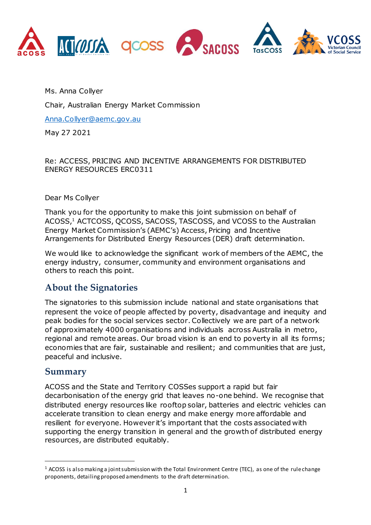

Ms. Anna Collyer

Chair, Australian Energy Market Commission

[Anna.Collyer@aemc.gov.au](mailto:Anna.Collyer@aemc.gov.au)

May 27 2021

### Re: ACCESS, PRICING AND INCENTIVE ARRANGEMENTS FOR DISTRIBUTED ENERGY RESOURCES ERC0311

### Dear Ms Collyer

Thank you for the opportunity to make this joint submission on behalf of ACOSS, <sup>1</sup> ACTCOSS, QCOSS, SACOSS, TASCOSS, and VCOSS to the Australian Energy Market Commission's (AEMC's) Access, Pricing and Incentive Arrangements for Distributed Energy Resources (DER) draft determination.

We would like to acknowledge the significant work of members of the AEMC, the energy industry, consumer, community and environment organisations and others to reach this point.

# **About the Signatories**

The signatories to this submission include national and state organisations that represent the voice of people affected by poverty, disadvantage and inequity and peak bodies for the social services sector. Collectively we are part of a network of approximately 4000 organisations and individuals across Australia in metro, regional and remote areas. Our broad vision is an end to poverty in all its forms; economies that are fair, sustainable and resilient; and communities that are just, peaceful and inclusive.

### **Summary**

 $\overline{a}$ 

ACOSS and the State and Territory COSSes support a rapid but fair decarbonisation of the energy grid that leaves no-one behind. We recognise that distributed energy resources like rooftop solar, batteries and electric vehicles can accelerate transition to clean energy and make energy more affordable and resilient for everyone. However it's important that the costs associated with supporting the energy transition in general and the growth of distributed energy resources, are distributed equitably.

 $1$  ACOSS is also making a joint submission with the Total Environment Centre (TEC), as one of the rule change proponents, detailing proposed amendments to the draft determination.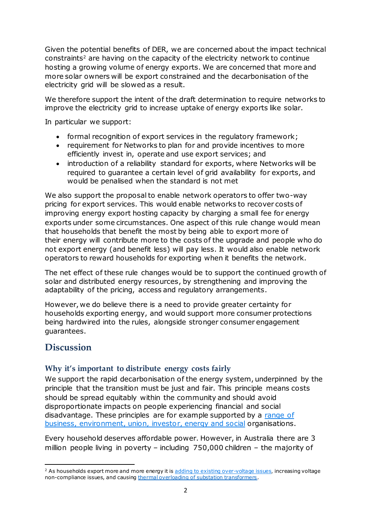Given the potential benefits of DER, we are concerned about the impact technical constraints<sup>2</sup> are having on the capacity of the electricity network to continue hosting a growing volume of energy exports. We are concerned that more and more solar owners will be export constrained and the decarbonisation of the electricity grid will be slowed as a result.

We therefore support the intent of the draft determination to require networks to improve the electricity grid to increase uptake of energy exports like solar.

In particular we support:

- formal recognition of export services in the regulatory framework;
- requirement for Networks to plan for and provide incentives to more efficiently invest in, operate and use export services; and
- introduction of a reliability standard for exports, where Networks will be required to guarantee a certain level of grid availability for exports, and would be penalised when the standard is not met

We also support the proposal to enable network operators to offer two-way pricing for export services. This would enable networks to recover costs of improving energy export hosting capacity by charging a small fee for energy exports under some circumstances. One aspect of this rule change would mean that households that benefit the most by being able to export more of their energy will contribute more to the costs of the upgrade and people who do not export energy (and benefit less) will pay less. It would also enable network operators to reward households for exporting when it benefits the network.

The net effect of these rule changes would be to support the continued growth of solar and distributed energy resources, by strengthening and improving the adaptability of the pricing, access and regulatory arrangements.

However, we do believe there is a need to provide greater certainty for households exporting energy, and would support more consumer protections being hardwired into the rules, alongside stronger consumer engagement guarantees.

# **Discussion**

 $\overline{a}$ 

### **Why it's important to distribute energy costs fairly**

We support the rapid decarbonisation of the energy system, underpinned by the principle that the transition must be just and fair. This principle means costs should be spread equitably within the community and should avoid disproportionate impacts on people experiencing financial and social disadvantage. These principles are for example supported by a [range of](https://hes32-ctp.trendmicro.com/wis/clicktime/v1/query?url=https%3a%2f%2fwww.australianclimateroundtable.org.au%2fwp%2dcontent%2fuploads%2f2020%2f11%2fClimate%5froundtable%5fjoint%5fprinciples%2dUpdated%5fNovember%5f2020.pdf&umid=8016dd4b-b8de-4fd9-8d57-0eafbfa741c3&auth=4a688c6487e8791b0383f588900c49d1372c4986-9ca0c8868e6fab29b5386b2cd3677a86797f8fb0)  [business, environment, union, investor, energy and social](https://hes32-ctp.trendmicro.com/wis/clicktime/v1/query?url=https%3a%2f%2fwww.australianclimateroundtable.org.au%2fwp%2dcontent%2fuploads%2f2020%2f11%2fClimate%5froundtable%5fjoint%5fprinciples%2dUpdated%5fNovember%5f2020.pdf&umid=8016dd4b-b8de-4fd9-8d57-0eafbfa741c3&auth=4a688c6487e8791b0383f588900c49d1372c4986-9ca0c8868e6fab29b5386b2cd3677a86797f8fb0) organisations.

Every household deserves affordable power. However, in Australia there are 3 million people living in poverty – including 750,000 children – the majority of

<sup>&</sup>lt;sup>2</sup> As households export more and more energy it is [adding to existing over-voltage issues](https://www.aer.gov.au/system/files/AER%20Assessing%20Distributed%20Energy%20Resources%20%28DER%29%20Integration%20Expenditure%20%20consultation%20paper%20-%2028%20November%202019.pdf), increasing voltage non-compliance issues, and causing [thermal overloading of substation transformers](https://www.energynetworks.com.au/news/energy-insider/solar-saturation-sooner-than-we-thought/).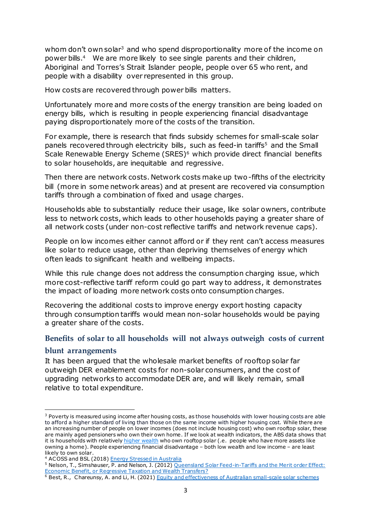whom don't own solar<sup>3</sup> and who spend disproportionality more of the income on power bills.<sup>4</sup> We are more likely to see single parents and their children, Aboriginal and Torres's Strait Islander people, people over 65 who rent, and people with a disability over represented in this group.

How costs are recovered through power bills matters.

Unfortunately more and more costs of the energy transition are being loaded on energy bills, which is resulting in people experiencing financial disadvantage paying disproportionately more of the costs of the transition.

For example, there is research that finds subsidy schemes for small-scale solar panels recovered through electricity bills, such as feed-in tariffs<sup>5</sup> and the Small Scale Renewable Energy Scheme (SRES)<sup>6</sup> which provide direct financial benefits to solar households, are inequitable and regressive.

Then there are network costs. Network costs make up two-fifths of the electricity bill (more in some network areas) and at present are recovered via consumption tariffs through a combination of fixed and usage charges.

Households able to substantially reduce their usage, like solar owners, contribute less to network costs, which leads to other households paying a greater share of all network costs (under non-cost reflective tariffs and network revenue caps).

People on low incomes either cannot afford or if they rent can't access measures like solar to reduce usage, other than depriving themselves of energy which often leads to significant health and wellbeing impacts.

While this rule change does not address the consumption charging issue, which more cost-reflective tariff reform could go part way to address, it demonstrates the impact of loading more network costs onto consumption charges.

Recovering the additional costs to improve energy export hosting capacity through consumption tariffs would mean non-solar households would be paying a greater share of the costs.

# **Benefits of solar to all households will not always outweigh costs of current**

### **blunt arrangements**

 $\overline{a}$ 

It has been argued that the wholesale market benefits of rooftop solar far outweigh DER enablement costs for non-solar consumers, and the cost of upgrading networks to accommodate DER are, and will likely remain, small relative to total expenditure.

<sup>&</sup>lt;sup>3</sup> Poverty is measured using income after housing costs, as those households with lower housing costs are able to afford a higher standard of living than those on the same income with higher housing cost. While there are an increasing number of people on lower incomes (does not include housing cost) who own rooftop solar, these are mainly aged pensioners who own their own home. If we look at wealth indicators, the ABS data shows that it is households with relatively [higher wealth](https://www.acoss.org.au/wp-content/uploads/2018/10/Energy-Stressed-in-Australia.pdf) who own rooftop solar (.e. people who have more assets like owning a home). People experiencing financial disadvantage – both low wealth and low income – are least likely to own solar.

<sup>&</sup>lt;sup>4</sup> ACOSS and BSL (2018) **Energy Stressed in Australia** 

<sup>&</sup>lt;sup>5</sup> Nelson, T., Simshauser, P. and Nelson, J. (2012) Queensland Solar Feed-in-Tariffs and the Merit order Effect: [Economic Benefit, or Regressive Taxation and Wealth Transfers?](https://www.sciencedirect.com/science/article/pii/S0313592612500305)

<sup>&</sup>lt;sup>6</sup> Best, R., Chareunsy, A. and Li, H. (2021[\) Equity and effectiveness of Australian small-scale solar schemes](https://researchers.mq.edu.au/en/publications/equity-and-effectiveness-of-australian-small-scale-solar-schemes)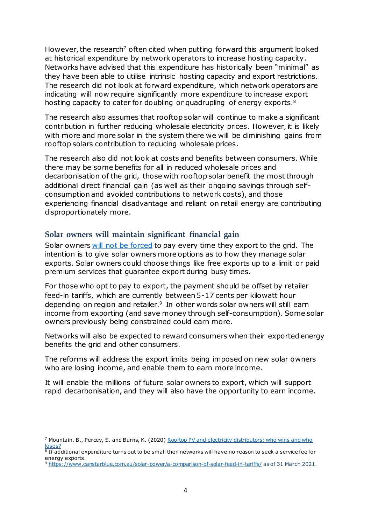However, the research<sup>7</sup> often cited when putting forward this argument looked at historical expenditure by network operators to increase hosting capacity. Networks have advised that this expenditure has historically been "minimal" as they have been able to utilise intrinsic hosting capacity and export restrictions. The research did not look at forward expenditure, which network operators are indicating will now require significantly more expenditure to increase export hosting capacity to cater for doubling or quadrupling of energy exports.<sup>8</sup>

The research also assumes that rooftop solar will continue to make a significant contribution in further reducing wholesale electricity prices. However, it is likely with more and more solar in the system there we will be diminishing gains from rooftop solars contribution to reducing wholesale prices.

The research also did not look at costs and benefits between consumers. While there may be some benefits for all in reduced wholesale prices and decarbonisation of the grid, those with rooftop solar benefit the most through additional direct financial gain (as well as their ongoing savings through selfconsumption and avoided contributions to network costs), and those experiencing financial disadvantage and reliant on retail energy are contributing disproportionately more.

### **Solar owners will maintain significant financial gain**

Solar owners [will not be forced](https://www.aemc.gov.au/sites/default/files/2021-03/ERC0311%20-%20draft%20-%20FAQs.pdf) to pay every time they export to the grid. The intention is to give solar owners more options as to how they manage solar exports. Solar owners could choose things like free exports up to a limit or paid premium services that guarantee export during busy times.

For those who opt to pay to export, the payment should be offset by retailer feed-in tariffs, which are currently between 5-17 cents per kilowatt hour depending on region and retailer.<sup>9</sup> In other words solar owners will still earn income from exporting (and save money through self-consumption). Some solar owners previously being constrained could earn more.

Networks will also be expected to reward consumers when their exported energy benefits the grid and other consumers.

The reforms will address the export limits being imposed on new solar owners who are losing income, and enable them to earn more income.

It will enable the millions of future solar owners to export, which will support rapid decarbonisation, and they will also have the opportunity to earn income.

 $\overline{a}$ 

<sup>&</sup>lt;sup>7</sup> Mountain, B., Percey, S. and Burns, K. (2020) Rooftop PV and electricity distributors: who wins and who [loses?](https://vuir.vu.edu.au/40487/#:~:text=Over%20the%208%20years%20to,from%20residential%20customers%20was%20fixed.)

<sup>8</sup> If additional expenditure turns out to be small then networks will have no reason to seek a service fee for energy exports.

<sup>9</sup> <https://www.canstarblue.com.au/solar-power/a-comparison-of-solar-feed-in-tariffs/> as of 31 March 2021.